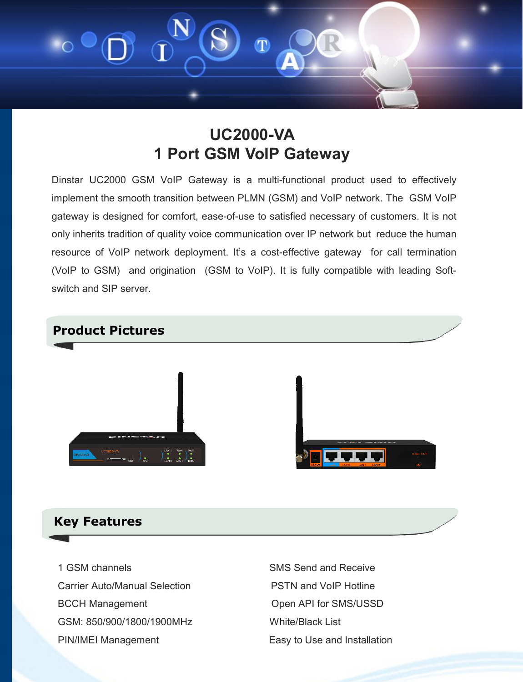

## **UC2000-VA 1 Port GSM VoIP Gateway**

Dinstar UC2000 GSM VoIP Gateway is a multi-functional product used to effectively implement the smooth transition between PLMN (GSM) and VoIP network. The GSM VoIP gateway is designed for comfort, ease-of-use to satisfied necessary of customers. It is not only inherits tradition of quality voice communication over IP network but reduce the human resource of VoIP network deployment. It's a cost-effective gateway for call termination (VoIP to GSM) and origination (GSM to VoIP). It is fully compatible with leading Softswitch and SIP server.



## **Key Features**

1 GSM channels **SMS** Send and Receive Carrier Auto/Manual Selection **PSTN** and VoIP Hotline BCCH Management **Department** Open API for SMS/USSD GSM: 850/900/1800/1900MHz White/Black List PIN/IMEI Management Easy to Use and Installation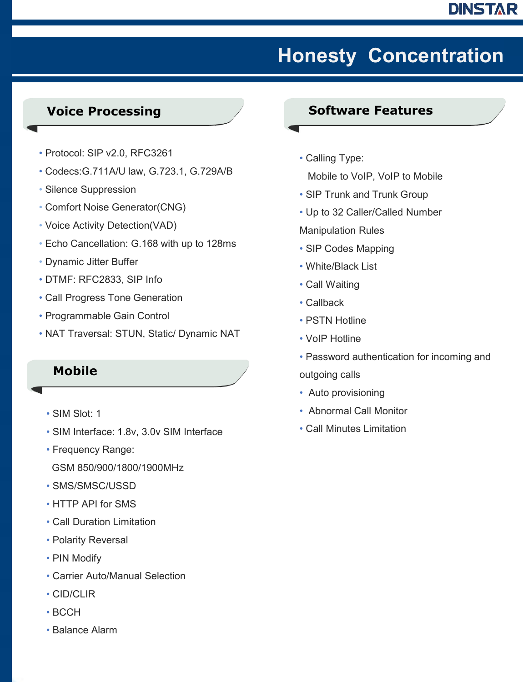## **DINSTAR**

# **Honesty Concentration**

## **Voice Processing**

- Protocol: SIP v2.0, RFC3261
- Codecs:G.711A/U law, G.723.1, G.729A/B
- Silence Suppression
- Comfort Noise Generator(CNG)
- Voice Activity Detection(VAD)
- Echo Cancellation: G.168 with up to 128ms
- Dynamic Jitter Buffer
- DTMF: RFC2833, SIP Info
- Call Progress Tone Generation
- Programmable Gain Control
- NAT Traversal: STUN, Static/ Dynamic NAT

## **Mobile**

- SIM Slot: 1
- SIM Interface: 1.8v, 3.0v SIM Interface
- Frequency Range:
- GSM 850/900/1800/1900MHz
- SMS/SMSC/USSD
- HTTP API for SMS
- Call Duration Limitation
- Polarity Reversal
- PIN Modify
- Carrier Auto/Manual Selection
- CID/CLIR
- BCCH
- Balance Alarm

### **Software Features**

- Calling Type: Mobile to VoIP, VoIP to Mobile
- SIP Trunk and Trunk Group
- Up to 32 Caller/Called Number
- Manipulation Rules
- SIP Codes Mapping
- White/Black List
- Call Waiting
- Callback
- PSTN Hotline
- VoIP Hotline
- Password authentication for incoming and outgoing calls
- Auto provisioning
- Abnormal Call Monitor
- Call Minutes Limitation